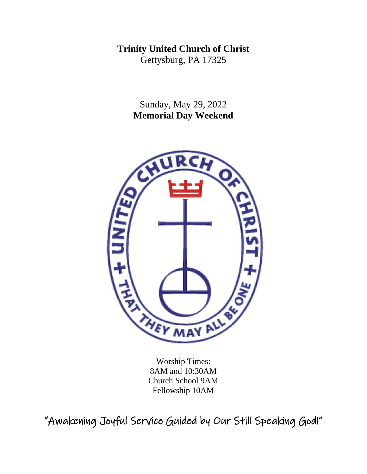**Trinity United Church of Christ**  Gettysburg, PA 17325

> Sunday, May 29, 2022 **Memorial Day Weekend**



Worship Times: 8AM and 10:30AM Church School 9AM Fellowship 10AM

"Awakening Joyful Service Guided by Our Still Speaking God!"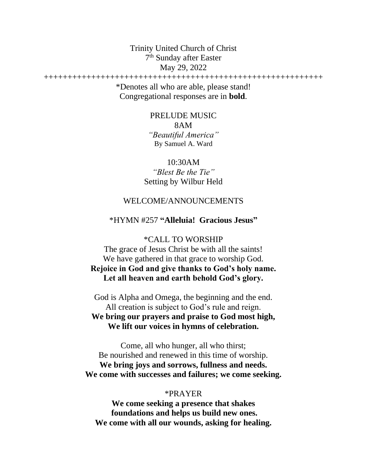Trinity United Church of Christ 7<sup>th</sup> Sunday after Easter May 29, 2022

+++++++++++++++++++++++++++++++++++++++++++++++++++++++++++ \*Denotes all who are able, please stand! Congregational responses are in **bold**.

> PRELUDE MUSIC 8AM *"Beautiful America"*  By Samuel A. Ward

10:30AM *"Blest Be the Tie"* Setting by Wilbur Held

### WELCOME/ANNOUNCEMENTS

### \*HYMN #257 **"Alleluia! Gracious Jesus"**

\*CALL TO WORSHIP The grace of Jesus Christ be with all the saints! We have gathered in that grace to worship God. **Rejoice in God and give thanks to God's holy name. Let all heaven and earth behold God's glory.** 

God is Alpha and Omega, the beginning and the end. All creation is subject to God's rule and reign. **We bring our prayers and praise to God most high, We lift our voices in hymns of celebration.** 

Come, all who hunger, all who thirst; Be nourished and renewed in this time of worship. **We bring joys and sorrows, fullness and needs. We come with successes and failures; we come seeking.** 

#### \*PRAYER

**We come seeking a presence that shakes foundations and helps us build new ones. We come with all our wounds, asking for healing.**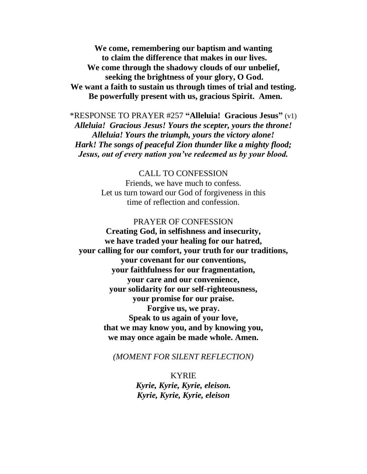**We come, remembering our baptism and wanting to claim the difference that makes in our lives. We come through the shadowy clouds of our unbelief, seeking the brightness of your glory, O God. We want a faith to sustain us through times of trial and testing. Be powerfully present with us, gracious Spirit. Amen.** 

\*RESPONSE TO PRAYER #257 **"Alleluia! Gracious Jesus"** (v1) *Alleluia! Gracious Jesus! Yours the scepter, yours the throne! Alleluia! Yours the triumph, yours the victory alone! Hark! The songs of peaceful Zion thunder like a mighty flood; Jesus, out of every nation you've redeemed us by your blood.* 

CALL TO CONFESSION

Friends, we have much to confess. Let us turn toward our God of forgiveness in this time of reflection and confession.

PRAYER OF CONFESSION **Creating God, in selfishness and insecurity, we have traded your healing for our hatred, your calling for our comfort, your truth for our traditions, your covenant for our conventions, your faithfulness for our fragmentation, your care and our convenience, your solidarity for our self-righteousness, your promise for our praise. Forgive us, we pray. Speak to us again of your love, that we may know you, and by knowing you, we may once again be made whole. Amen.**

*(MOMENT FOR SILENT REFLECTION)* 

KYRIE *Kyrie, Kyrie, Kyrie, eleison. Kyrie, Kyrie, Kyrie, eleison*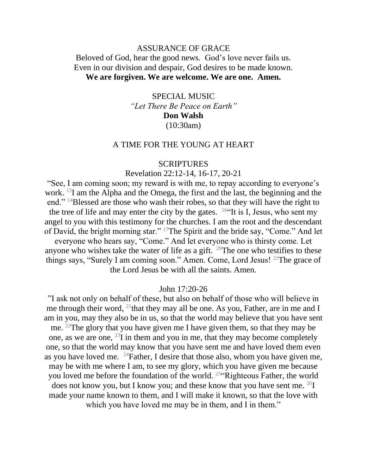### ASSURANCE OF GRACE

### Beloved of God, hear the good news. God's love never fails us. Even in our division and despair, God desires to be made known. **We are forgiven. We are welcome. We are one. Amen.**

SPECIAL MUSIC *"Let There Be Peace on Earth"* **Don Walsh** (10:30am)

#### A TIME FOR THE YOUNG AT HEART

#### SCRIPTURES

#### Revelation 22:12-14, 16-17, 20-21

"See, I am coming soon; my reward is with me, to repay according to everyone's work. <sup>13</sup>I am the Alpha and the Omega, the first and the last, the beginning and the end." <sup>14</sup>Blessed are those who wash their robes, so that they will have the right to the tree of life and may enter the city by the gates.  $16$ "It is I, Jesus, who sent my angel to you with this testimony for the churches. I am the root and the descendant of David, the bright morning star." <sup>17</sup>The Spirit and the bride say, "Come." And let everyone who hears say, "Come." And let everyone who is thirsty come. Let anyone who wishes take the water of life as a gift. <sup>20</sup>The one who testifies to these things says, "Surely I am coming soon." Amen. Come, Lord Jesus! <sup>21</sup>The grace of the Lord Jesus be with all the saints. Amen.

#### John 17:20-26

"I ask not only on behalf of these, but also on behalf of those who will believe in me through their word,  $^{21}$ that they may all be one. As you, Father, are in me and I am in you, may they also be in us, so that the world may believe that you have sent me. <sup>22</sup>The glory that you have given me I have given them, so that they may be one, as we are one,  $^{23}$ I in them and you in me, that they may become completely one, so that the world may know that you have sent me and have loved them even as you have loved me.  $^{24}$ Father, I desire that those also, whom you have given me, may be with me where I am, to see my glory, which you have given me because you loved me before the foundation of the world. <sup>25</sup>"Righteous Father, the world does not know you, but I know you; and these know that you have sent me.  $^{26}I$ made your name known to them, and I will make it known, so that the love with which you have loved me may be in them, and I in them."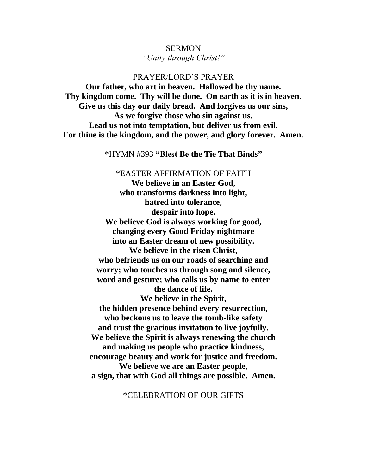# **SERMON**

*"Unity through Christ!"* 

PRAYER/LORD'S PRAYER

**Our father, who art in heaven. Hallowed be thy name. Thy kingdom come. Thy will be done. On earth as it is in heaven. Give us this day our daily bread. And forgives us our sins, As we forgive those who sin against us. Lead us not into temptation, but deliver us from evil. For thine is the kingdom, and the power, and glory forever. Amen.** 

\*HYMN #393 **"Blest Be the Tie That Binds"**

\*EASTER AFFIRMATION OF FAITH

**We believe in an Easter God, who transforms darkness into light, hatred into tolerance, despair into hope. We believe God is always working for good, changing every Good Friday nightmare into an Easter dream of new possibility. We believe in the risen Christ, who befriends us on our roads of searching and worry; who touches us through song and silence, word and gesture; who calls us by name to enter the dance of life. We believe in the Spirit, the hidden presence behind every resurrection, who beckons us to leave the tomb-like safety and trust the gracious invitation to live joyfully. We believe the Spirit is always renewing the church and making us people who practice kindness, encourage beauty and work for justice and freedom. We believe we are an Easter people, a sign, that with God all things are possible. Amen.**

\*CELEBRATION OF OUR GIFTS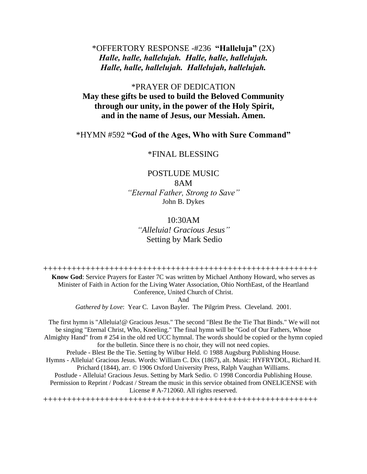### \*OFFERTORY RESPONSE -#236 **"Halleluja"** (2X) *Halle, halle, hallelujah. Halle, halle, hallelujah. Halle, halle, hallelujah. Hallelujah, hallelujah.*

### \*PRAYER OF DEDICATION **May these gifts be used to build the Beloved Community through our unity, in the power of the Holy Spirit, and in the name of Jesus, our Messiah. Amen.**

\*HYMN #592 **"God of the Ages, Who with Sure Command"**

#### \*FINAL BLESSING

### POSTLUDE MUSIC 8AM *"Eternal Father, Strong to Save"*  John B. Dykes

### 10:30AM *"Alleluia! Gracious Jesus"* Setting by Mark Sedio

++++++++++++++++++++++++++++++++++++++++++++++++++++++++++ **Know God**: Service Prayers for Easter 7C was written by Michael Anthony Howard, who serves as Minister of Faith in Action for the Living Water Association, Ohio NorthEast, of the Heartland Conference, United Church of Christ.

And

*Gathered by Love*: Year C. Lavon Bayler. The Pilgrim Press. Cleveland. 2001.

The first hymn is "Alleluia!@ Gracious Jesus." The second "Blest Be the Tie That Binds." We will not be singing "Eternal Christ, Who, Kneeling." The final hymn will be "God of Our Fathers, Whose Almighty Hand" from # 254 in the old red UCC hymnal. The words should be copied or the hymn copied for the bulletin. Since there is no choir, they will not need copies. Prelude - Blest Be the Tie. Setting by Wilbur Held. © 1988 Augsburg Publishing House. Hymns - Alleluia! Gracious Jesus. Words: William C. Dix (1867), alt. Music: HYFRYDOL, Richard H. Prichard (1844), arr. © 1906 Oxford University Press, Ralph Vaughan Williams. Postlude - Alleluia! Gracious Jesus. Setting by Mark Sedio. © 1998 Concordia Publishing House.

Permission to Reprint / Podcast / Stream the music in this service obtained from ONELICENSE with License # A-712060. All rights reserved.

++++++++++++++++++++++++++++++++++++++++++++++++++++++++++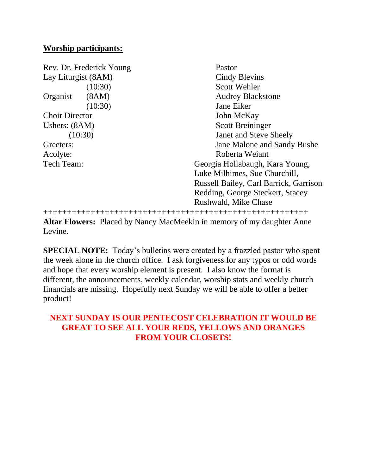### **Worship participants:**

| Rev. Dr. Frederick Young |         | Pastor                                 |
|--------------------------|---------|----------------------------------------|
| Lay Liturgist (8AM)      |         | <b>Cindy Blevins</b>                   |
|                          | (10:30) | <b>Scott Wehler</b>                    |
| Organist                 | (8AM)   | <b>Audrey Blackstone</b>               |
|                          | (10:30) | Jane Eiker                             |
| <b>Choir Director</b>    |         | John McKay                             |
| Ushers: $(8AM)$          |         | <b>Scott Breininger</b>                |
| (10:30)                  |         | Janet and Steve Sheely                 |
| Greeters:                |         | Jane Malone and Sandy Bushe            |
| Acolyte:                 |         | Roberta Weiant                         |
| Tech Team:               |         | Georgia Hollabaugh, Kara Young,        |
|                          |         | Luke Milhimes, Sue Churchill,          |
|                          |         | Russell Bailey, Carl Barrick, Garrison |
|                          |         | Redding, George Steckert, Stacey       |
|                          |         | Rushwald, Mike Chase                   |
|                          |         |                                        |

**Altar Flowers:** Placed by Nancy MacMeekin in memory of my daughter Anne Levine.

**SPECIAL NOTE:** Today's bulletins were created by a frazzled pastor who spent the week alone in the church office. I ask forgiveness for any typos or odd words and hope that every worship element is present. I also know the format is different, the announcements, weekly calendar, worship stats and weekly church financials are missing. Hopefully next Sunday we will be able to offer a better product!

## **NEXT SUNDAY IS OUR PENTECOST CELEBRATION IT WOULD BE GREAT TO SEE ALL YOUR REDS, YELLOWS AND ORANGES FROM YOUR CLOSETS!**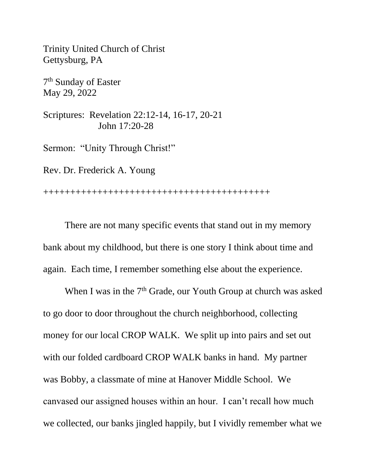Trinity United Church of Christ Gettysburg, PA

7 th Sunday of Easter May 29, 2022

Scriptures: Revelation 22:12-14, 16-17, 20-21 John 17:20-28

Sermon: "Unity Through Christ!"

Rev. Dr. Frederick A. Young

++++++++++++++++++++++++++++++++++++++++++

There are not many specific events that stand out in my memory bank about my childhood, but there is one story I think about time and again. Each time, I remember something else about the experience.

When I was in the  $7<sup>th</sup>$  Grade, our Youth Group at church was asked to go door to door throughout the church neighborhood, collecting money for our local CROP WALK. We split up into pairs and set out with our folded cardboard CROP WALK banks in hand. My partner was Bobby, a classmate of mine at Hanover Middle School. We canvased our assigned houses within an hour. I can't recall how much we collected, our banks jingled happily, but I vividly remember what we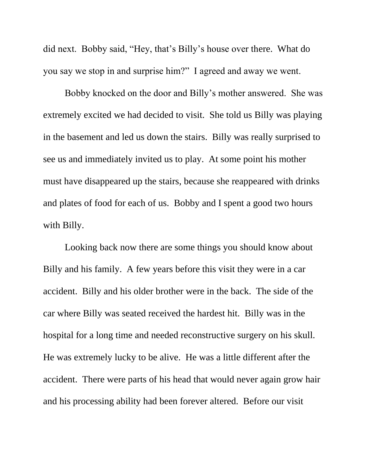did next. Bobby said, "Hey, that's Billy's house over there. What do you say we stop in and surprise him?" I agreed and away we went.

Bobby knocked on the door and Billy's mother answered. She was extremely excited we had decided to visit. She told us Billy was playing in the basement and led us down the stairs. Billy was really surprised to see us and immediately invited us to play. At some point his mother must have disappeared up the stairs, because she reappeared with drinks and plates of food for each of us. Bobby and I spent a good two hours with Billy.

Looking back now there are some things you should know about Billy and his family. A few years before this visit they were in a car accident. Billy and his older brother were in the back. The side of the car where Billy was seated received the hardest hit. Billy was in the hospital for a long time and needed reconstructive surgery on his skull. He was extremely lucky to be alive. He was a little different after the accident. There were parts of his head that would never again grow hair and his processing ability had been forever altered. Before our visit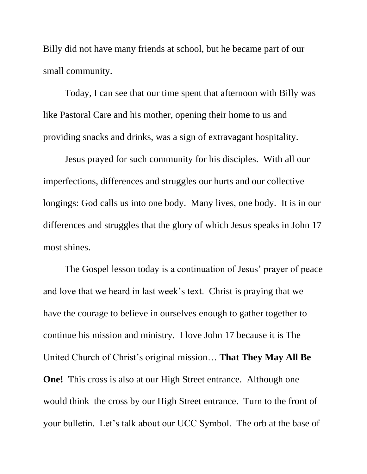Billy did not have many friends at school, but he became part of our small community.

Today, I can see that our time spent that afternoon with Billy was like Pastoral Care and his mother, opening their home to us and providing snacks and drinks, was a sign of extravagant hospitality.

Jesus prayed for such community for his disciples. With all our imperfections, differences and struggles our hurts and our collective longings: God calls us into one body. Many lives, one body. It is in our differences and struggles that the glory of which Jesus speaks in John 17 most shines.

The Gospel lesson today is a continuation of Jesus' prayer of peace and love that we heard in last week's text. Christ is praying that we have the courage to believe in ourselves enough to gather together to continue his mission and ministry. I love John 17 because it is The United Church of Christ's original mission… **That They May All Be One!** This cross is also at our High Street entrance. Although one would think the cross by our High Street entrance. Turn to the front of your bulletin. Let's talk about our UCC Symbol. The orb at the base of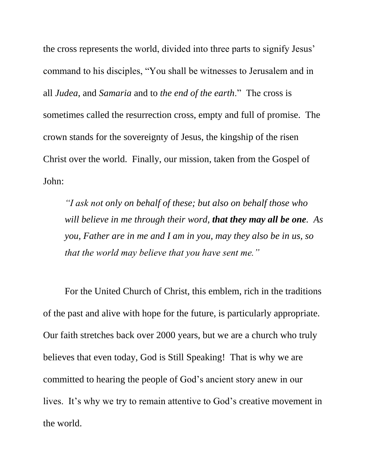the cross represents the world, divided into three parts to signify Jesus' command to his disciples, "You shall be witnesses to Jerusalem and in all *Judea*, and *Samaria* and to *the end of the earth*." The cross is sometimes called the resurrection cross, empty and full of promise. The crown stands for the sovereignty of Jesus, the kingship of the risen Christ over the world. Finally, our mission, taken from the Gospel of John:

*"I ask not only on behalf of these; but also on behalf those who will believe in me through their word, that they may all be one. As you, Father are in me and I am in you, may they also be in us, so that the world may believe that you have sent me."* 

For the United Church of Christ, this emblem, rich in the traditions of the past and alive with hope for the future, is particularly appropriate. Our faith stretches back over 2000 years, but we are a church who truly believes that even today, God is Still Speaking! That is why we are committed to hearing the people of God's ancient story anew in our lives. It's why we try to remain attentive to God's creative movement in the world.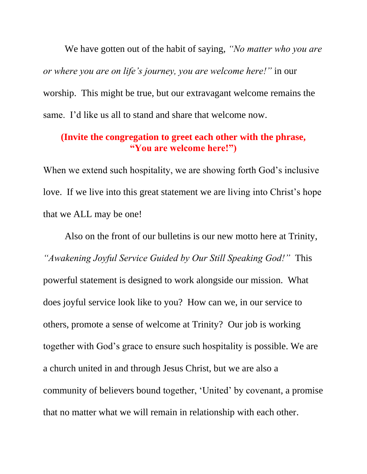We have gotten out of the habit of saying, *"No matter who you are or where you are on life's journey, you are welcome here!"* in our worship. This might be true, but our extravagant welcome remains the same. I'd like us all to stand and share that welcome now.

## **(Invite the congregation to greet each other with the phrase, "You are welcome here!")**

When we extend such hospitality, we are showing forth God's inclusive love. If we live into this great statement we are living into Christ's hope that we ALL may be one!

Also on the front of our bulletins is our new motto here at Trinity, *"Awakening Joyful Service Guided by Our Still Speaking God!"* This powerful statement is designed to work alongside our mission. What does joyful service look like to you? How can we, in our service to others, promote a sense of welcome at Trinity? Our job is working together with God's grace to ensure such hospitality is possible. We are a church united in and through Jesus Christ, but we are also a community of believers bound together, 'United' by covenant, a promise that no matter what we will remain in relationship with each other.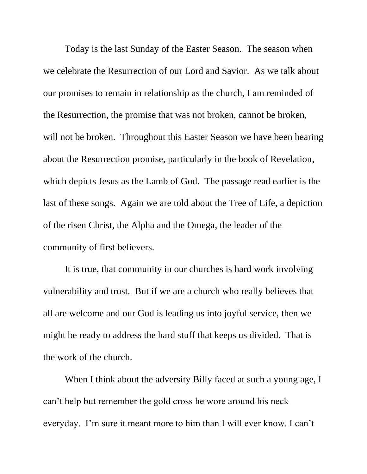Today is the last Sunday of the Easter Season. The season when we celebrate the Resurrection of our Lord and Savior. As we talk about our promises to remain in relationship as the church, I am reminded of the Resurrection, the promise that was not broken, cannot be broken, will not be broken. Throughout this Easter Season we have been hearing about the Resurrection promise, particularly in the book of Revelation, which depicts Jesus as the Lamb of God. The passage read earlier is the last of these songs. Again we are told about the Tree of Life, a depiction of the risen Christ, the Alpha and the Omega, the leader of the community of first believers.

It is true, that community in our churches is hard work involving vulnerability and trust. But if we are a church who really believes that all are welcome and our God is leading us into joyful service, then we might be ready to address the hard stuff that keeps us divided. That is the work of the church.

When I think about the adversity Billy faced at such a young age, I can't help but remember the gold cross he wore around his neck everyday. I'm sure it meant more to him than I will ever know. I can't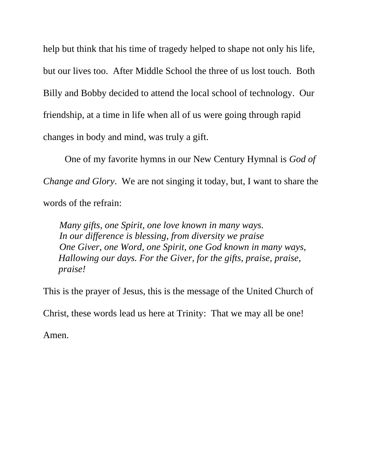help but think that his time of tragedy helped to shape not only his life, but our lives too. After Middle School the three of us lost touch. Both Billy and Bobby decided to attend the local school of technology. Our friendship, at a time in life when all of us were going through rapid changes in body and mind, was truly a gift.

One of my favorite hymns in our New Century Hymnal is *God of Change and Glory*. We are not singing it today, but, I want to share the words of the refrain:

*Many gifts, one Spirit, one love known in many ways. In our difference is blessing, from diversity we praise One Giver, one Word, one Spirit, one God known in many ways, Hallowing our days. For the Giver, for the gifts, praise, praise, praise!* 

This is the prayer of Jesus, this is the message of the United Church of

Christ, these words lead us here at Trinity: That we may all be one!

Amen.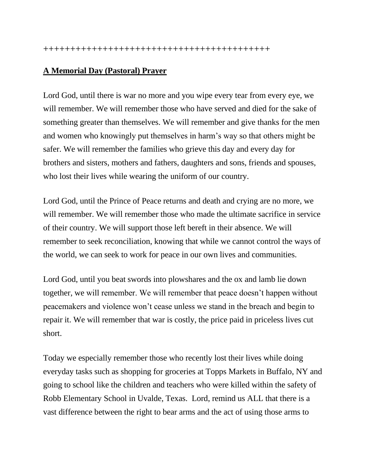## **A Memorial Day (Pastoral) Prayer**

Lord God, until there is war no more and you wipe every tear from every eye, we will remember. We will remember those who have served and died for the sake of something greater than themselves. We will remember and give thanks for the men and women who knowingly put themselves in harm's way so that others might be safer. We will remember the families who grieve this day and every day for brothers and sisters, mothers and fathers, daughters and sons, friends and spouses, who lost their lives while wearing the uniform of our country.

Lord God, until the Prince of Peace returns and death and crying are no more, we will remember. We will remember those who made the ultimate sacrifice in service of their country. We will support those left bereft in their absence. We will remember to seek reconciliation, knowing that while we cannot control the ways of the world, we can seek to work for peace in our own lives and communities.

Lord God, until you beat swords into plowshares and the ox and lamb lie down together, we will remember. We will remember that peace doesn't happen without peacemakers and violence won't cease unless we stand in the breach and begin to repair it. We will remember that war is costly, the price paid in priceless lives cut short.

Today we especially remember those who recently lost their lives while doing everyday tasks such as shopping for groceries at Topps Markets in Buffalo, NY and going to school like the children and teachers who were killed within the safety of Robb Elementary School in Uvalde, Texas. Lord, remind us ALL that there is a vast difference between the right to bear arms and the act of using those arms to